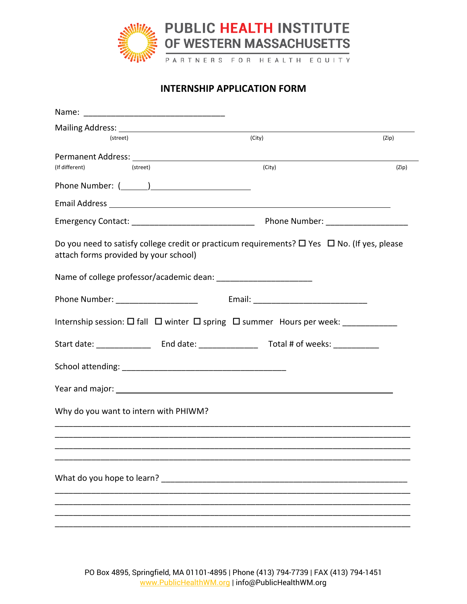

## **INTERNSHIP APPLICATION FORM**

| (street)                                                                                                                                                                                                                      | (City) | (Zip) |
|-------------------------------------------------------------------------------------------------------------------------------------------------------------------------------------------------------------------------------|--------|-------|
| (If different)<br>(street)                                                                                                                                                                                                    | (City) | (Zip) |
|                                                                                                                                                                                                                               |        |       |
|                                                                                                                                                                                                                               |        |       |
|                                                                                                                                                                                                                               |        |       |
| Do you need to satisfy college credit or practicum requirements? $\Box$ Yes $\Box$ No. (If yes, please<br>attach forms provided by your school)                                                                               |        |       |
|                                                                                                                                                                                                                               |        |       |
| Phone Number: The Contract of the Contract of the Contract of the Contract of the Contract of the Contract of the Contract of the Contract of the Contract of the Contract of the Contract of the Contract of the Contract of |        |       |
| Internship session: $\square$ fall $\square$ winter $\square$ spring $\square$ summer Hours per week: _____________                                                                                                           |        |       |
|                                                                                                                                                                                                                               |        |       |
|                                                                                                                                                                                                                               |        |       |
| Year and major: New York Changes and Major:                                                                                                                                                                                   |        |       |
| Why do you want to intern with PHIWM?                                                                                                                                                                                         |        |       |
|                                                                                                                                                                                                                               |        |       |
|                                                                                                                                                                                                                               |        |       |
|                                                                                                                                                                                                                               |        |       |
|                                                                                                                                                                                                                               |        |       |
|                                                                                                                                                                                                                               |        |       |

PO Box 4895, Springfield, MA 01101-4895 | Phone (413) 794-7739 | FAX (413) 794-1451 [www.PublicHealthWM.org](http://www.publichealthwm.org/) | info@PublicHealthWM.org